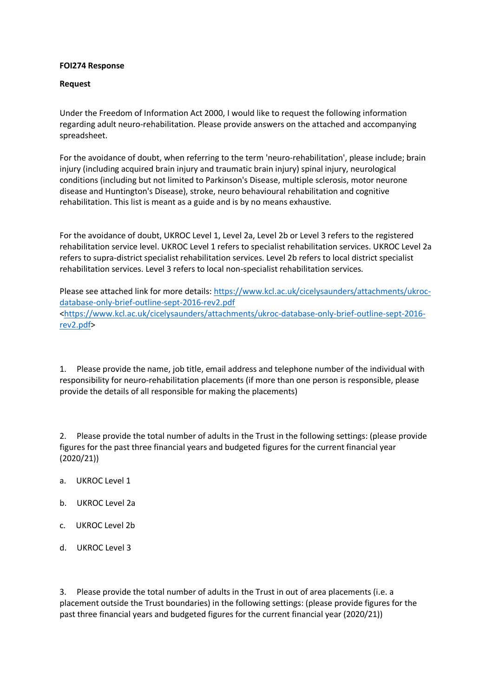## **FOI274 Response**

## **Request**

Under the Freedom of Information Act 2000, I would like to request the following information regarding adult neuro-rehabilitation. Please provide answers on the attached and accompanying spreadsheet.

For the avoidance of doubt, when referring to the term 'neuro-rehabilitation', please include; brain injury (including acquired brain injury and traumatic brain injury) spinal injury, neurological conditions (including but not limited to Parkinson's Disease, multiple sclerosis, motor neurone disease and Huntington's Disease), stroke, neuro behavioural rehabilitation and cognitive rehabilitation. This list is meant as a guide and is by no means exhaustive.

For the avoidance of doubt, UKROC Level 1, Level 2a, Level 2b or Level 3 refers to the registered rehabilitation service level. UKROC Level 1 refers to specialist rehabilitation services. UKROC Level 2a refers to supra-district specialist rehabilitation services. Level 2b refers to local district specialist rehabilitation services. Level 3 refers to local non-specialist rehabilitation services.

Please see attached link for more details: [https://www.kcl.ac.uk/cicelysaunders/attachments/ukroc](https://www.kcl.ac.uk/cicelysaunders/attachments/ukroc-database-only-brief-outline-sept-2016-rev2.pdf)[database-only-brief-outline-sept-2016-rev2.pdf](https://www.kcl.ac.uk/cicelysaunders/attachments/ukroc-database-only-brief-outline-sept-2016-rev2.pdf) [<https://www.kcl.ac.uk/cicelysaunders/attachments/ukroc-database-only-brief-outline-sept-2016](https://www.kcl.ac.uk/cicelysaunders/attachments/ukroc-database-only-brief-outline-sept-2016-rev2.pdf) [rev2.pdf>](https://www.kcl.ac.uk/cicelysaunders/attachments/ukroc-database-only-brief-outline-sept-2016-rev2.pdf)

1. Please provide the name, job title, email address and telephone number of the individual with responsibility for neuro-rehabilitation placements (if more than one person is responsible, please provide the details of all responsible for making the placements)

2. Please provide the total number of adults in the Trust in the following settings: (please provide figures for the past three financial years and budgeted figures for the current financial year (2020/21))

- a. UKROC Level 1
- b. UKROC Level 2a
- c. UKROC Level 2b
- d. UKROC Level 3

3. Please provide the total number of adults in the Trust in out of area placements (i.e. a placement outside the Trust boundaries) in the following settings: (please provide figures for the past three financial years and budgeted figures for the current financial year (2020/21))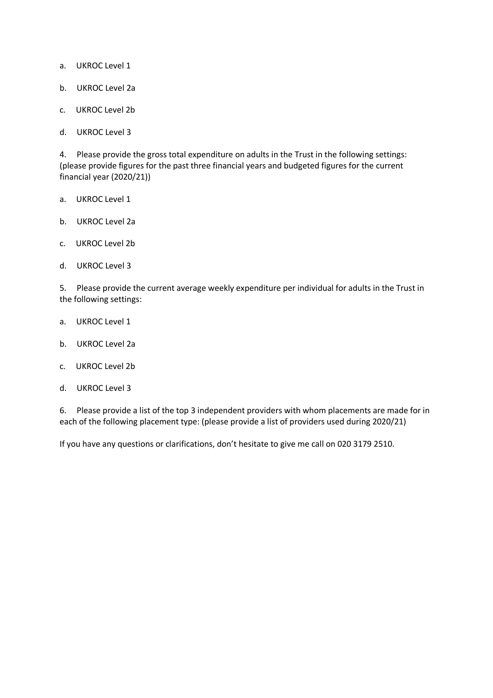- a. UKROC Level 1
- b. UKROC Level 2a
- c. UKROC Level 2b
- d. UKROC Level 3

4. Please provide the gross total expenditure on adults in the Trust in the following settings: (please provide figures for the past three financial years and budgeted figures for the current financial year (2020/21))

- a. UKROC Level 1
- b. UKROC Level 2a
- c. UKROC Level 2b
- d. UKROC Level 3

5. Please provide the current average weekly expenditure per individual for adults in the Trust in the following settings:

- a. UKROC Level 1
- b. UKROC Level 2a
- c. UKROC Level 2b
- d. UKROC Level 3

6. Please provide a list of the top 3 independent providers with whom placements are made for in each of the following placement type: (please provide a list of providers used during 2020/21)

If you have any questions or clarifications, don't hesitate to give me call on 020 3179 2510.